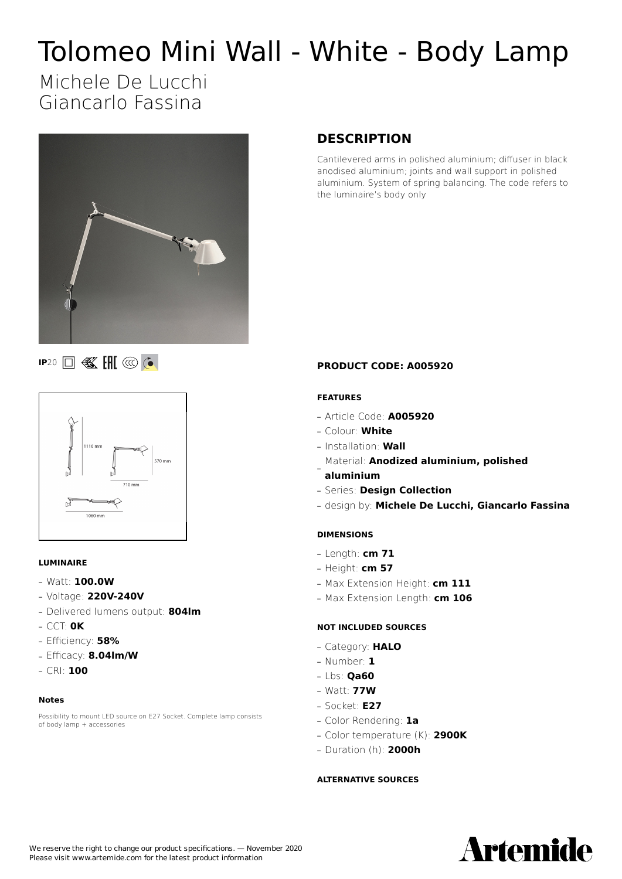# Tolomeo Mini Wall - White - Body Lamp

## Michele De Lucchi Giancarlo Fassina



#### **DESCRIPTION**

Cantilevered arms in polished aluminium; diffuser in black anodised aluminium; joints and wall support in polished aluminium. System of spring balancing. The code refers to the luminaire's body only

### **IP**20 **I K IH** @ **C**



#### **LUMINAIRE**

- **—** Watt: **100.0W**
- **—** Voltage: **220V-240V**
- **—** Delivered lumens output: **804lm**
- **—** CCT: **0K**
- **—** Efficiency: **58%**
- **—** Efficacy: **8.04lm/W**
- **—** CRI: **100**

#### **Notes**

Possibility to mount LED source on E27 Socket. Complete lamp consists of body lamp + accessories

#### **PRODUCT CODE: A005920**

#### **FEATURES**

- **—** Article Code: **A005920**
- **—** Colour: **White**
- **—** Installation: **Wall**
- Material: **Anodized aluminium, polished —**
- **aluminium**
- **—** Series: **Design Collection**
- **—** design by: **Michele De Lucchi, Giancarlo Fassina**

#### **DIMENSIONS**

- **—** Length: **cm 71**
- **—** Height: **cm 57**
- **—** Max Extension Height: **cm 111**
- **—** Max Extension Length: **cm 106**

#### **NOT INCLUDED SOURCES**

- **—** Category: **HALO**
- **—** Number: **1**
- **—** Lbs: **Qa60**
- **—** Watt: **77W**
- **—** Socket: **E27**
- **—** Color Rendering: **1a**
- **—** Color temperature (K): **2900K**
- **—** Duration (h): **2000h**

#### **ALTERNATIVE SOURCES**